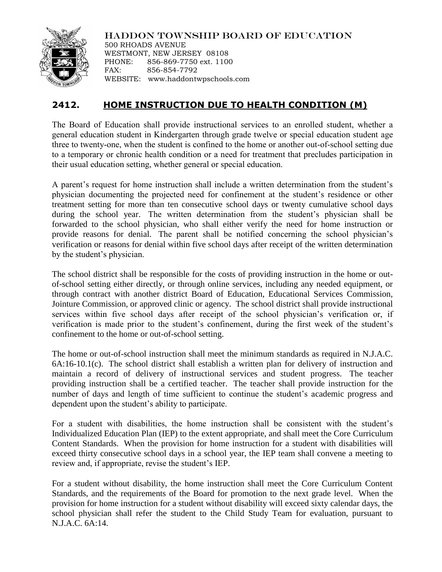

HADDON TOWNSHIP BOARD OF EDUCATION

500 RHOADS AVENUE WESTMONT, NEW JERSEY 08108 PHONE: 856-869-7750 ext. 1100 FAX: 856-854-7792 WEBSITE: www.haddontwpschools.com

## **2412. HOME INSTRUCTION DUE TO HEALTH CONDITION (M)**

The Board of Education shall provide instructional services to an enrolled student, whether a general education student in Kindergarten through grade twelve or special education student age three to twenty-one, when the student is confined to the home or another out-of-school setting due to a temporary or chronic health condition or a need for treatment that precludes participation in their usual education setting, whether general or special education.

A parent's request for home instruction shall include a written determination from the student's physician documenting the projected need for confinement at the student's residence or other treatment setting for more than ten consecutive school days or twenty cumulative school days during the school year. The written determination from the student's physician shall be forwarded to the school physician, who shall either verify the need for home instruction or provide reasons for denial. The parent shall be notified concerning the school physician's verification or reasons for denial within five school days after receipt of the written determination by the student's physician.

The school district shall be responsible for the costs of providing instruction in the home or outof-school setting either directly, or through online services, including any needed equipment, or through contract with another district Board of Education, Educational Services Commission, Jointure Commission, or approved clinic or agency. The school district shall provide instructional services within five school days after receipt of the school physician's verification or, if verification is made prior to the student's confinement, during the first week of the student's confinement to the home or out-of-school setting.

The home or out-of-school instruction shall meet the minimum standards as required in N.J.A.C. 6A:16-10.1(c). The school district shall establish a written plan for delivery of instruction and maintain a record of delivery of instructional services and student progress. The teacher providing instruction shall be a certified teacher. The teacher shall provide instruction for the number of days and length of time sufficient to continue the student's academic progress and dependent upon the student's ability to participate.

For a student with disabilities, the home instruction shall be consistent with the student's Individualized Education Plan (IEP) to the extent appropriate, and shall meet the Core Curriculum Content Standards. When the provision for home instruction for a student with disabilities will exceed thirty consecutive school days in a school year, the IEP team shall convene a meeting to review and, if appropriate, revise the student's IEP.

For a student without disability, the home instruction shall meet the Core Curriculum Content Standards, and the requirements of the Board for promotion to the next grade level. When the provision for home instruction for a student without disability will exceed sixty calendar days, the school physician shall refer the student to the Child Study Team for evaluation, pursuant to N.J.A.C. 6A:14.